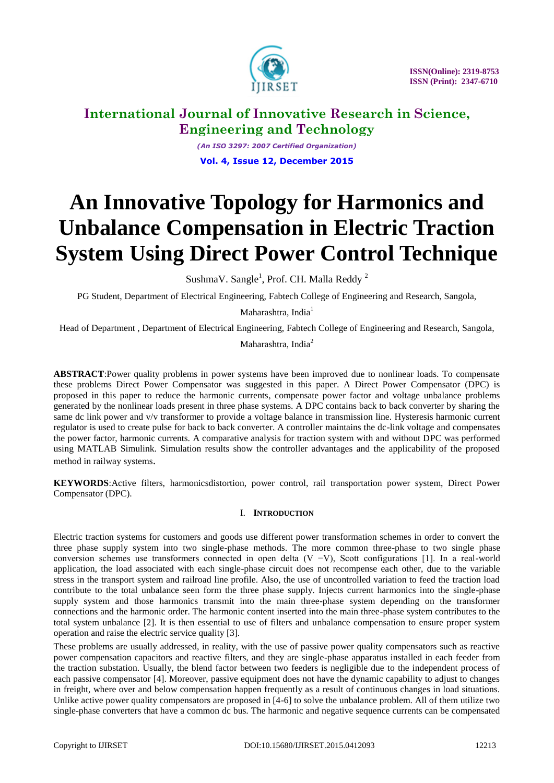

*(An ISO 3297: 2007 Certified Organization)* **Vol. 4, Issue 12, December 2015**

# **An Innovative Topology for Harmonics and Unbalance Compensation in Electric Traction System Using Direct Power Control Technique**

SushmaV. Sangle<sup>1</sup>, Prof. CH. Malla Reddy<sup>2</sup>

PG Student, Department of Electrical Engineering, Fabtech College of Engineering and Research, Sangola,

Maharashtra, India<sup>1</sup>

Head of Department , Department of Electrical Engineering, Fabtech College of Engineering and Research, Sangola,

Maharashtra, India<sup>2</sup>

**ABSTRACT**:Power quality problems in power systems have been improved due to nonlinear loads. To compensate these problems Direct Power Compensator was suggested in this paper. A Direct Power Compensator (DPC) is proposed in this paper to reduce the harmonic currents, compensate power factor and voltage unbalance problems generated by the nonlinear loads present in three phase systems. A DPC contains back to back converter by sharing the same dc link power and v/v transformer to provide a voltage balance in transmission line. Hysteresis harmonic current regulator is used to create pulse for back to back converter. A controller maintains the dc-link voltage and compensates the power factor, harmonic currents. A comparative analysis for traction system with and without DPC was performed using MATLAB Simulink. Simulation results show the controller advantages and the applicability of the proposed method in railway systems.

**KEYWORDS**:Active filters, harmonicsdistortion, power control, rail transportation power system, Direct Power Compensator (DPC).

### I. **INTRODUCTION**

Electric traction systems for customers and goods use different power transformation schemes in order to convert the three phase supply system into two single-phase methods. The more common three-phase to two single phase conversion schemes use transformers connected in open delta (V −V), Scott configurations [1]. In a real-world application, the load associated with each single-phase circuit does not recompense each other, due to the variable stress in the transport system and railroad line profile. Also, the use of uncontrolled variation to feed the traction load contribute to the total unbalance seen form the three phase supply. Injects current harmonics into the single-phase supply system and those harmonics transmit into the main three-phase system depending on the transformer connections and the harmonic order. The harmonic content inserted into the main three-phase system contributes to the total system unbalance [2]. It is then essential to use of filters and unbalance compensation to ensure proper system operation and raise the electric service quality [3].

These problems are usually addressed, in reality, with the use of passive power quality compensators such as reactive power compensation capacitors and reactive filters, and they are single-phase apparatus installed in each feeder from the traction substation. Usually, the blend factor between two feeders is negligible due to the independent process of each passive compensator [4]. Moreover, passive equipment does not have the dynamic capability to adjust to changes in freight, where over and below compensation happen frequently as a result of continuous changes in load situations. Unlike active power quality compensators are proposed in [4-6] to solve the unbalance problem. All of them utilize two single-phase converters that have a common dc bus. The harmonic and negative sequence currents can be compensated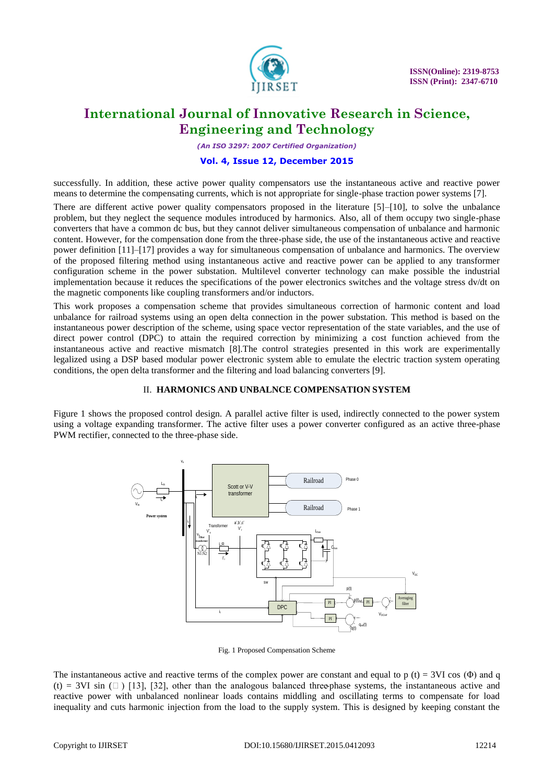

*(An ISO 3297: 2007 Certified Organization)*

### **Vol. 4, Issue 12, December 2015**

successfully. In addition, these active power quality compensators use the instantaneous active and reactive power means to determine the compensating currents, which is not appropriate for single-phase traction power systems [7].

There are different active power quality compensators proposed in the literature [5]–[10], to solve the unbalance problem, but they neglect the sequence modules introduced by harmonics. Also, all of them occupy two single-phase converters that have a common dc bus, but they cannot deliver simultaneous compensation of unbalance and harmonic content. However, for the compensation done from the three-phase side, the use of the instantaneous active and reactive power definition [11]–[17] provides a way for simultaneous compensation of unbalance and harmonics. The overview of the proposed filtering method using instantaneous active and reactive power can be applied to any transformer configuration scheme in the power substation. Multilevel converter technology can make possible the industrial implementation because it reduces the specifications of the power electronics switches and the voltage stress dv/dt on the magnetic components like coupling transformers and/or inductors.

This work proposes a compensation scheme that provides simultaneous correction of harmonic content and load unbalance for railroad systems using an open delta connection in the power substation. This method is based on the instantaneous power description of the scheme, using space vector representation of the state variables, and the use of direct power control (DPC) to attain the required correction by minimizing a cost function achieved from the instantaneous active and reactive mismatch [8].The control strategies presented in this work are experimentally legalized using a DSP based modular power electronic system able to emulate the electric traction system operating conditions, the open delta transformer and the filtering and load balancing converters [9].

### II. **HARMONICS AND UNBALNCE COMPENSATION SYSTEM**

Figure 1 shows the proposed control design. A parallel active filter is used, indirectly connected to the power system using a voltage expanding transformer. The active filter uses a power converter configured as an active three-phase PWM rectifier, connected to the three-phase side.



Fig. 1 Proposed Compensation Scheme

The instantaneous active and reactive terms of the complex power are constant and equal to p (t) = 3VI cos ( $\Phi$ ) and q (t) = 3VI sin  $(\Box)$  [13], [32], other than the analogous balanced three-phase systems, the instantaneous active and reactive power with unbalanced nonlinear loads contains middling and oscillating terms to compensate for load inequality and cuts harmonic injection from the load to the supply system. This is designed by keeping constant the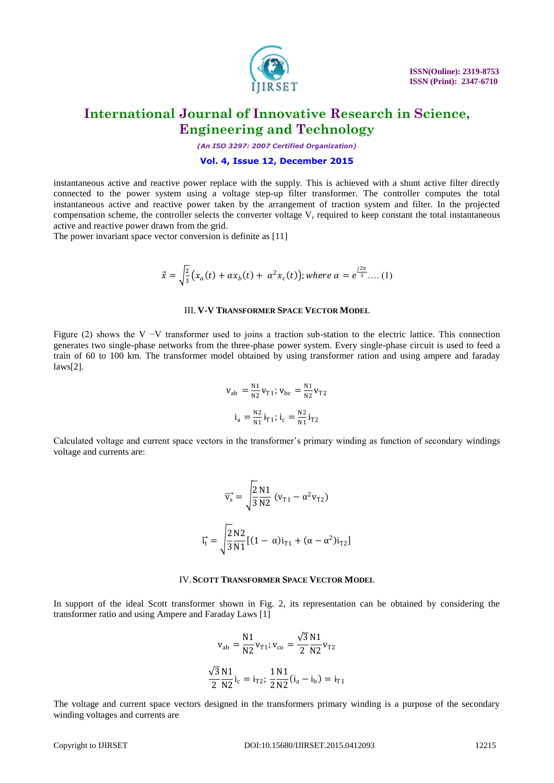

*(An ISO 3297: 2007 Certified Organization)*

#### **Vol. 4, Issue 12, December 2015**

instantaneous active and reactive power replace with the supply. This is achieved with a shunt active filter directly connected to the power system using a voltage step-up filter transformer. The controller computes the total instantaneous active and reactive power taken by the arrangement of traction system and filter. In the projected compensation scheme, the controller selects the converter voltage  $V<sub>r</sub>$  required to keep constant the total instantaneous active and reactive power drawn from the grid.

The power invariant space vector conversion is definite as [11]

$$
\vec{x} = \sqrt{\frac{2}{3}} \big( x_a(t) + \alpha x_b(t) + \alpha^2 x_c(t) \big); \text{where } \alpha = e^{\frac{j2\pi}{3}} \dots (1)
$$

#### III. **V-V TRANSFORMER SPACE VECTOR MODEL**

Figure (2) shows the V −V transformer used to joins a traction sub-station to the electric lattice. This connection generates two single-phase networks from the three-phase power system. Every single-phase circuit is used to feed a train of 60 to 100 km. The transformer model obtained by using transformer ration and using ampere and faraday laws[2].

$$
v_{ab} = \frac{N_1}{N_2} v_{T1}; v_{bc} = \frac{N_1}{N_2} v_{T2}
$$

$$
i_a = \frac{N_2}{N_1} i_{T1}; i_c = \frac{N_2}{N_1} i_{T2}
$$

Calculated voltage and current space vectors in the transformer's primary winding as function of secondary windings voltage and currents are:

$$
\overrightarrow{v_s} = \sqrt{\frac{2}{3} \frac{N1}{N2}} (v_{T1} - \alpha^2 v_{T2})
$$

$$
\overrightarrow{i_t} = \sqrt{\frac{2}{3} \frac{N2}{N1}} [(1 - \alpha)i_{T1} + (\alpha - \alpha^2)i_{T2}]
$$

#### IV.**SCOTT TRANSFORMER SPACE VECTOR MODEL**

In support of the ideal Scott transformer shown in Fig. 2, its representation can be obtained by considering the transformer ratio and using Ampere and Faraday Laws [1]

$$
v_{ab} = \frac{N1}{N2} v_{T1}; v_{co} = \frac{\sqrt{3} N1}{2 N2} v_{T2}
$$

$$
\frac{\sqrt{3} N1}{2 N2} i_c = i_{T2}; \frac{1 N1}{2 N2} (i_a - i_b) = i_{T1}
$$

The voltage and current space vectors designed in the transformers primary winding is a purpose of the secondary winding voltages and currents are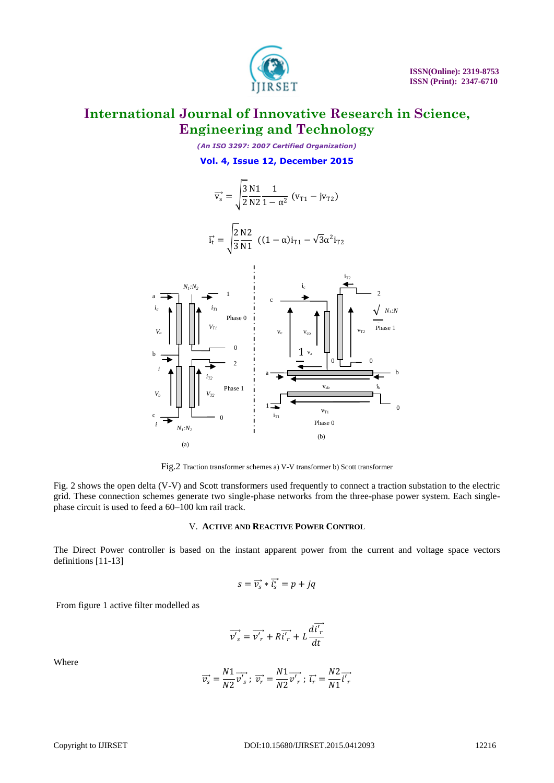

*(An ISO 3297: 2007 Certified Organization)* **Vol. 4, Issue 12, December 2015**



Fig.2 Traction transformer schemes a) V-V transformer b) Scott transformer

Fig. 2 shows the open delta (V-V) and Scott transformers used frequently to connect a traction substation to the electric grid. These connection schemes generate two single-phase networks from the three-phase power system. Each singlephase circuit is used to feed a 60–100 km rail track.

### V. **ACTIVE AND REACTIVE POWER CONTROL**

The Direct Power controller is based on the instant apparent power from the current and voltage space vectors definitions [11-13]

$$
s = \overrightarrow{v_s} * \overrightarrow{i_s} = p + jq
$$

From figure 1 active filter modelled as

$$
\overrightarrow{v'}_s = \overrightarrow{v'}_r + R\overrightarrow{i'}_r + L\frac{d\overrightarrow{i'}_r}{dt}
$$

Where

$$
\overrightarrow{v_s}=\frac{N1}{N2}\overrightarrow{v_s'};\; \overrightarrow{v_r}=\frac{N1}{N2}\overrightarrow{v_r'};\; \overrightarrow{\iota_r}=\frac{N2}{N1}\overrightarrow{\iota_r'}
$$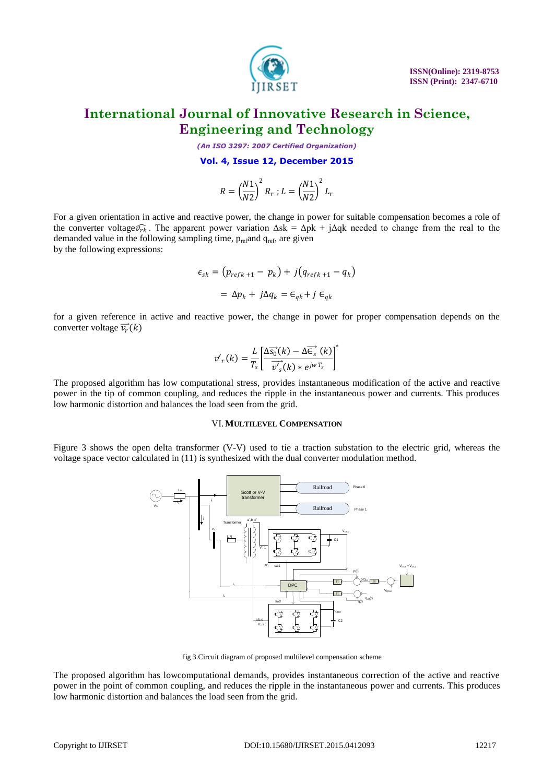

*(An ISO 3297: 2007 Certified Organization)*

**Vol. 4, Issue 12, December 2015**

$$
R=\left(\frac{N1}{N2}\right)^2R_r\ ; L=\left(\frac{N1}{N2}\right)^2L_r
$$

For a given orientation in active and reactive power, the change in power for suitable compensation becomes a role of the converter voltage  $\widehat{\nu_{rk}}$ . The apparent power variation  $\Delta sk = \Delta pk + j\Delta qk$  needed to change from the real to the demanded value in the following sampling time, prefand qref, are given by the following expressions:

$$
\epsilon_{sk} = (p_{refk+1} - p_k) + j(q_{refk+1} - q_k)
$$

$$
= \Delta p_k + j\Delta q_k = \epsilon_{qk} + j \epsilon_{qk}
$$

for a given reference in active and reactive power, the change in power for proper compensation depends on the converter voltage  $\overrightarrow{v_r}(k)$ 

$$
v'_{r}(k) = \frac{L}{T_s} \left[ \frac{\Delta \overrightarrow{s_0}(k) - \Delta \overrightarrow{\epsilon_s}(k)}{\overrightarrow{v'_s}(k) * e^{j w T_s}} \right]^*
$$

The proposed algorithm has low computational stress, provides instantaneous modification of the active and reactive power in the tip of common coupling, and reduces the ripple in the instantaneous power and currents. This produces low harmonic distortion and balances the load seen from the grid.

### VI.**MULTILEVEL COMPENSATION**

Figure 3 shows the open delta transformer (V-V) used to tie a traction substation to the electric grid, whereas the voltage space vector calculated in (11) is synthesized with the dual converter modulation method.



Fig 3.Circuit diagram of proposed multilevel compensation scheme

The proposed algorithm has lowcomputational demands, provides instantaneous correction of the active and reactive power in the point of common coupling, and reduces the ripple in the instantaneous power and currents. This produces low harmonic distortion and balances the load seen from the grid.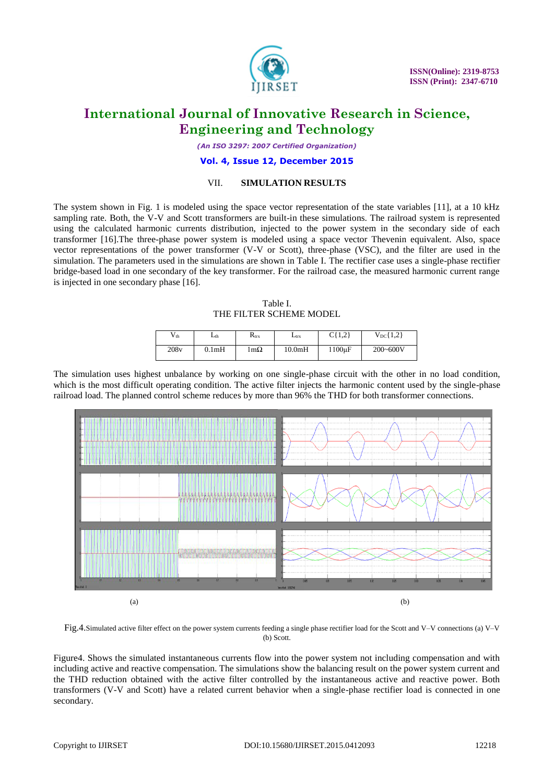

*(An ISO 3297: 2007 Certified Organization)*

#### **Vol. 4, Issue 12, December 2015**

### VII. **SIMULATION RESULTS**

The system shown in Fig. 1 is modeled using the space vector representation of the state variables [11], at a 10 kHz sampling rate. Both, the V-V and Scott transformers are built-in these simulations. The railroad system is represented using the calculated harmonic currents distribution, injected to the power system in the secondary side of each transformer [16].The three-phase power system is modeled using a space vector Thevenin equivalent. Also, space vector representations of the power transformer (V-V or Scott), three-phase (VSC), and the filter are used in the simulation. The parameters used in the simulations are shown in Table I. The rectifier case uses a single-phase rectifier bridge-based load in one secondary of the key transformer. For the railroad case, the measured harmonic current range is injected in one secondary phase [16].

Table I. THE FILTER SCHEME MODEL

| $V_{th}$ | $L_{th}$           | $R_{trx}$    | $L_{\text{tr}x}$ | C(1,2)<br>しもしんと | $V_{DC}$ {1,2} |
|----------|--------------------|--------------|------------------|-----------------|----------------|
| 208v     | 0.1 <sub>m</sub> H | l m $\Omega$ | 10.0mH           | $1100\mu F$     | $200 - 600V$   |

The simulation uses highest unbalance by working on one single-phase circuit with the other in no load condition, which is the most difficult operating condition. The active filter injects the harmonic content used by the single-phase railroad load. The planned control scheme reduces by more than 96% the THD for both transformer connections.



Fig.4.Simulated active filter effect on the power system currents feeding a single phase rectifier load for the Scott and V–V connections (a) V–V (b) Scott.

Figure4. Shows the simulated instantaneous currents flow into the power system not including compensation and with including active and reactive compensation. The simulations show the balancing result on the power system current and the THD reduction obtained with the active filter controlled by the instantaneous active and reactive power. Both transformers (V-V and Scott) have a related current behavior when a single-phase rectifier load is connected in one secondary.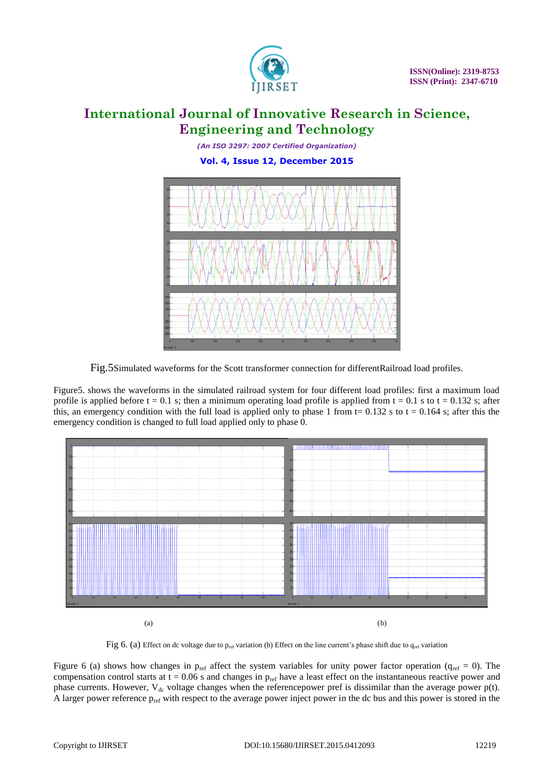

*(An ISO 3297: 2007 Certified Organization)* **Vol. 4, Issue 12, December 2015**



Fig.5Simulated waveforms for the Scott transformer connection for differentRailroad load profiles.

Figure5. shows the waveforms in the simulated railroad system for four different load profiles: first a maximum load profile is applied before  $t = 0.1$  s; then a minimum operating load profile is applied from  $t = 0.1$  s to  $t = 0.132$  s; after this, an emergency condition with the full load is applied only to phase 1 from  $t = 0.132$  s to  $t = 0.164$  s; after this the emergency condition is changed to full load applied only to phase 0.



Fig 6. (a) Effect on dc voltage due to p<sub>ref</sub> variation (b) Effect on the line current's phase shift due to q<sub>ref</sub> variation

Figure 6 (a) shows how changes in  $p_{ref}$  affect the system variables for unity power factor operation ( $q_{ref} = 0$ ). The compensation control starts at  $t = 0.06$  s and changes in  $p_{ref}$  have a least effect on the instantaneous reactive power and phase currents. However,  $V_{dc}$  voltage changes when the referencepower pref is dissimilar than the average power p(t). A larger power reference  $p_{ref}$  with respect to the average power inject power in the dc bus and this power is stored in the